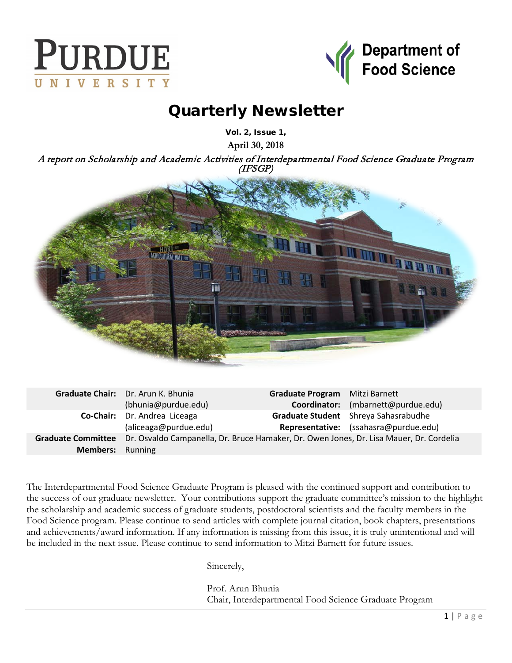



# Quarterly Newsletter

Vol. 2, Issue 1,

**April 30, 2018**

A report on Scholarship and Academic Activities of Interdepartmental Food Science Graduate Program (IFSGP)



|                         | Graduate Chair: Dr. Arun K. Bhunia                                                                         | Graduate Program Mitzi Barnett |                                       |
|-------------------------|------------------------------------------------------------------------------------------------------------|--------------------------------|---------------------------------------|
|                         | (bhunia@purdue.edu)                                                                                        |                                | Coordinator: (mbarnett@purdue.edu)    |
|                         | Co-Chair: Dr. Andrea Liceaga                                                                               |                                | Graduate Student Shreya Sahasrabudhe  |
|                         | (aliceaga@purdue.edu)                                                                                      |                                | Representative: (ssahasra@purdue.edu) |
|                         | Graduate Committee Dr. Osvaldo Campanella, Dr. Bruce Hamaker, Dr. Owen Jones, Dr. Lisa Mauer, Dr. Cordelia |                                |                                       |
| <b>Members:</b> Running |                                                                                                            |                                |                                       |

The Interdepartmental Food Science Graduate Program is pleased with the continued support and contribution to the success of our graduate newsletter. Your contributions support the graduate committee's mission to the highlight the scholarship and academic success of graduate students, postdoctoral scientists and the faculty members in the Food Science program. Please continue to send articles with complete journal citation, book chapters, presentations and achievements/award information. If any information is missing from this issue, it is truly unintentional and will be included in the next issue. Please continue to send information to Mitzi Barnett for future issues.

Sincerely,

Prof. Arun Bhunia Chair, Interdepartmental Food Science Graduate Program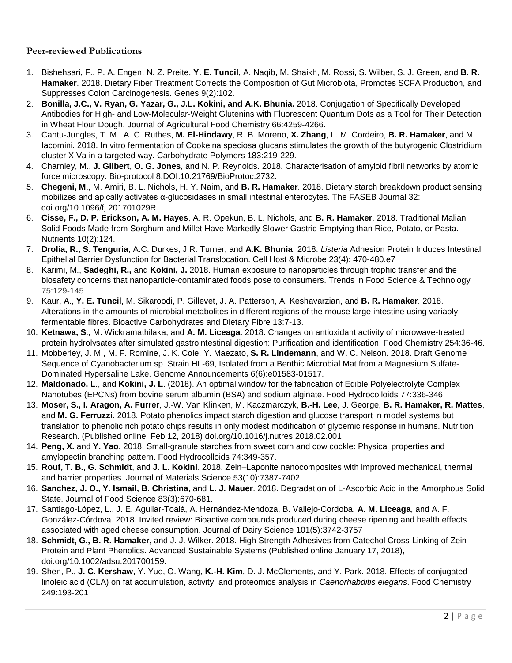## **Peer-reviewed Publications**

- 1. Bishehsari, F., P. A. Engen, N. Z. Preite, **Y. E. Tuncil**, A. Naqib, M. Shaikh, M. Rossi, S. Wilber, S. J. Green, and **B. R. Hamaker**. 2018. Dietary Fiber Treatment Corrects the Composition of Gut Microbiota, Promotes SCFA Production, and Suppresses Colon Carcinogenesis. Genes 9(2):102.
- 2. **Bonilla, J.C., V. Ryan, G. Yazar, G., J.L. Kokini, and A.K. Bhunia.** 2018. Conjugation of Specifically Developed Antibodies for High- and Low-Molecular-Weight Glutenins with Fluorescent Quantum Dots as a Tool for Their Detection in Wheat Flour Dough. Journal of Agricultural Food Chemistry 66:4259-4266.
- 3. Cantu-Jungles, T. M., A. C. Ruthes, **M. El-Hindawy**, R. B. Moreno, **X. Zhang**, L. M. Cordeiro, **B. R. Hamaker**, and M. Iacomini. 2018. In vitro fermentation of Cookeina speciosa glucans stimulates the growth of the butyrogenic Clostridium cluster XIVa in a targeted way. Carbohydrate Polymers 183:219-229.
- 4. Charnley, M., **J. Gilbert**, **O. G. Jones**, and N. P. Reynolds. 2018. Characterisation of amyloid fibril networks by atomic force microscopy. Bio-protocol 8:DOI:10.21769/BioProtoc.2732.
- 5. **Chegeni, M**., M. Amiri, B. L. Nichols, H. Y. Naim, and **B. R. Hamaker**. 2018. Dietary starch breakdown product sensing mobilizes and apically activates α-glucosidases in small intestinal enterocytes. The FASEB Journal 32: doi.org/10.1096/fj.201701029R.
- 6. **Cisse, F., D. P. Erickson, A. M. Hayes**, A. R. Opekun, B. L. Nichols, and **B. R. Hamaker**. 2018. Traditional Malian Solid Foods Made from Sorghum and Millet Have Markedly Slower Gastric Emptying than Rice, Potato, or Pasta. Nutrients 10(2):124.
- 7. **Drolia, R., S. Tenguria**, A.C. Durkes, J.R. Turner, and **A.K. Bhunia**. 2018. *Listeria* Adhesion Protein Induces Intestinal Epithelial Barrier Dysfunction for Bacterial Translocation. Cell Host & Microbe 23(4): 470-480.e7
- 8. Karimi, M., **Sadeghi, R.,** and **Kokini, J.** 2018. Human exposure to nanoparticles through trophic transfer and the biosafety concerns that nanoparticle-contaminated foods pose to consumers. Trends in Food Science & Technology 75:129-145.
- 9. Kaur, A., **Y. E. Tuncil**, M. Sikaroodi, P. Gillevet, J. A. Patterson, A. Keshavarzian, and **B. R. Hamaker**. 2018. Alterations in the amounts of microbial metabolites in different regions of the mouse large intestine using variably fermentable fibres. Bioactive Carbohydrates and Dietary Fibre 13:7-13.
- 10. **Ketnawa, S**., M. Wickramathilaka, and **A. M. Liceaga**. 2018. Changes on antioxidant activity of microwave-treated protein hydrolysates after simulated gastrointestinal digestion: Purification and identification. Food Chemistry 254:36-46.
- 11. Mobberley, J. M., M. F. Romine, J. K. Cole, Y. Maezato, **S. R. Lindemann**, and W. C. Nelson. 2018. Draft Genome Sequence of Cyanobacterium sp. Strain HL-69, Isolated from a Benthic Microbial Mat from a Magnesium Sulfate-Dominated Hypersaline Lake. Genome Announcements 6(6):e01583-01517.
- 12. **Maldonado, L**., and **Kokini, J. L**. (2018). An optimal window for the fabrication of Edible Polyelectrolyte Complex Nanotubes (EPCNs) from bovine serum albumin (BSA) and sodium alginate. Food Hydrocolloids 77:336-346
- 13. **Moser, S., I. Aragon, A. Furrer**, J.-W. Van Klinken, M. Kaczmarczyk, **B.-H. Lee**, J. George, **B. R. Hamaker, R. Mattes**, and **M. G. Ferruzzi**. 2018. Potato phenolics impact starch digestion and glucose transport in model systems but translation to phenolic rich potato chips results in only modest modification of glycemic response in humans. Nutrition Research. (Published online Feb 12, 2018) doi.org/10.1016/j.nutres.2018.02.001
- 14. **Peng, X.** and **Y. Yao**. 2018. Small-granule starches from sweet corn and cow cockle: Physical properties and amylopectin branching pattern. Food Hydrocolloids 74:349-357.
- 15. **Rouf, T. B., G. Schmidt**, and **J. L. Kokini**. 2018. Zein–Laponite nanocomposites with improved mechanical, thermal and barrier properties. Journal of Materials Science 53(10):7387-7402.
- 16. **Sanchez, J. O., Y. Ismail, B. Christina**, and **L. J. Mauer**. 2018. Degradation of L‐Ascorbic Acid in the Amorphous Solid State. Journal of Food Science 83(3):670-681.
- 17. Santiago-López, L., J. E. Aguilar-Toalá, A. Hernández-Mendoza, B. Vallejo-Cordoba, **A. M. Liceaga**, and A. F. González-Córdova. 2018. Invited review: Bioactive compounds produced during cheese ripening and health effects associated with aged cheese consumption. Journal of Dairy Science 101(5):3742-3757
- 18. **Schmidt, G., B. R. Hamaker**, and J. J. Wilker. 2018. High Strength Adhesives from Catechol Cross‐Linking of Zein Protein and Plant Phenolics. Advanced Sustainable Systems (Published online January 17, 2018), doi.org/10.1002/adsu.201700159.
- 19. Shen, P., **J. C. Kershaw**, Y. Yue, O. Wang, **K.-H. Kim**, D. J. McClements, and Y. Park. 2018. Effects of conjugated linoleic acid (CLA) on fat accumulation, activity, and proteomics analysis in *Caenorhabditis elegans*. Food Chemistry 249:193-201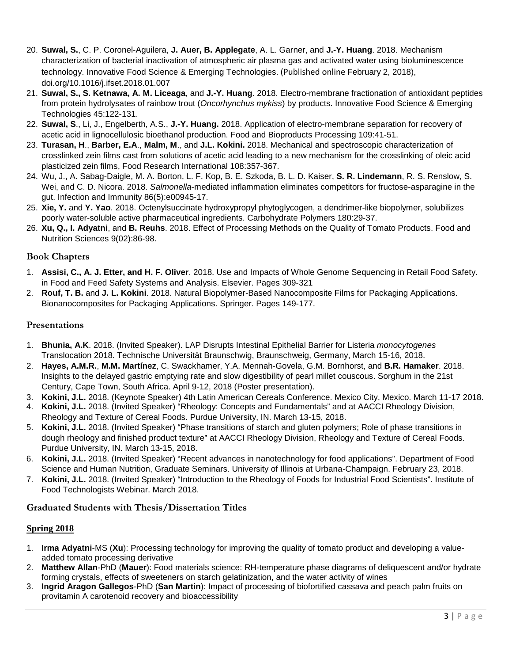- 20. **Suwal, S.**, C. P. Coronel-Aguilera, **J. Auer, B. Applegate**, A. L. Garner, and **J.-Y. Huang**. 2018. Mechanism characterization of bacterial inactivation of atmospheric air plasma gas and activated water using bioluminescence technology. Innovative Food Science & Emerging Technologies. (Published online February 2, 2018), doi.org/10.1016/j.ifset.2018.01.007
- 21. **Suwal, S., S. Ketnawa, A. M. Liceaga**, and **J.-Y. Huang**. 2018. Electro-membrane fractionation of antioxidant peptides from protein hydrolysates of rainbow trout (*Oncorhynchus mykiss*) by products. Innovative Food Science & Emerging Technologies 45:122-131.
- 22. **Suwal, S**., Li, J., Engelberth, A.S., **J.-Y. Huang.** 2018. Application of electro-membrane separation for recovery of acetic acid in lignocellulosic bioethanol production. Food and Bioproducts Processing 109:41-51.
- 23. **Turasan, H**., **Barber, E.A**., **Malm, M**., and **J.L. Kokini.** 2018. Mechanical and spectroscopic characterization of crosslinked zein films cast from solutions of acetic acid leading to a new mechanism for the crosslinking of oleic acid plasticized zein films, Food Research International 108:357-367.
- 24. Wu, J., A. Sabag-Daigle, M. A. Borton, L. F. Kop, B. E. Szkoda, B. L. D. Kaiser, **S. R. Lindemann**, R. S. Renslow, S. Wei, and C. D. Nicora. 2018. *Salmonella*-mediated inflammation eliminates competitors for fructose-asparagine in the gut. Infection and Immunity 86(5):e00945-17.
- 25. **Xie, Y.** and **Y. Yao**. 2018. Octenylsuccinate hydroxypropyl phytoglycogen, a dendrimer-like biopolymer, solubilizes poorly water-soluble active pharmaceutical ingredients. Carbohydrate Polymers 180:29-37.
- 26. **Xu, Q., I. Adyatni**, and **B. Reuhs**. 2018. Effect of Processing Methods on the Quality of Tomato Products. Food and Nutrition Sciences 9(02):86-98.

### **Book Chapters**

- 1. **Assisi, C., A. J. Etter, and H. F. Oliver**. 2018. Use and Impacts of Whole Genome Sequencing in Retail Food Safety. in Food and Feed Safety Systems and Analysis. Elsevier. Pages 309-321
- 2. **Rouf, T. B.** and **J. L. Kokini**. 2018. Natural Biopolymer-Based Nanocomposite Films for Packaging Applications. Bionanocomposites for Packaging Applications. Springer. Pages 149-177.

## **Presentations**

- 1. **Bhunia, A.K**. 2018. (Invited Speaker). LAP Disrupts Intestinal Epithelial Barrier for Listeria *monocytogenes* Translocation 2018. Technische Universität Braunschwig, Braunschweig, Germany, March 15-16, 2018.
- 2. **Hayes, A.M.R.**, **M.M. Martínez**, C. Swackhamer, Y.A. Mennah-Govela, G.M. Bornhorst, and **B.R. Hamaker**. 2018. Insights to the delayed gastric emptying rate and slow digestibility of pearl millet couscous. Sorghum in the 21st Century, Cape Town, South Africa. April 9-12, 2018 (Poster presentation).
- 3. **Kokini, J.L.** 2018. (Keynote Speaker) 4th Latin American Cereals Conference. Mexico City, Mexico. March 11-17 2018.
- 4. **Kokini, J.L.** 2018. (Invited Speaker) "Rheology: Concepts and Fundamentals" and at AACCI Rheology Division, Rheology and Texture of Cereal Foods. Purdue University, IN. March 13-15, 2018.
- 5. **Kokini, J.L.** 2018. (Invited Speaker) "Phase transitions of starch and gluten polymers; Role of phase transitions in dough rheology and finished product texture" at AACCI Rheology Division, Rheology and Texture of Cereal Foods. Purdue University, IN. March 13-15, 2018.
- 6. **Kokini, J.L.** 2018. (Invited Speaker) "Recent advances in nanotechnology for food applications". Department of Food Science and Human Nutrition, Graduate Seminars. University of Illinois at Urbana-Champaign. February 23, 2018.
- 7. **Kokini, J.L.** 2018. (Invited Speaker) "Introduction to the Rheology of Foods for Industrial Food Scientists". Institute of Food Technologists Webinar. March 2018.

### **Graduated Students with Thesis/Dissertation Titles**

### **Spring 2018**

- 1. **Irma Adyatni**-MS (**Xu**): Processing technology for improving the quality of tomato product and developing a valueadded tomato processing derivative
- 2. **Matthew Allan**-PhD (**Mauer**): Food materials science: RH-temperature phase diagrams of deliquescent and/or hydrate forming crystals, effects of sweeteners on starch gelatinization, and the water activity of wines
- 3. **Ingrid Aragon Gallegos**-PhD (**San Martin**): Impact of processing of biofortified cassava and peach palm fruits on provitamin A carotenoid recovery and bioaccessibility